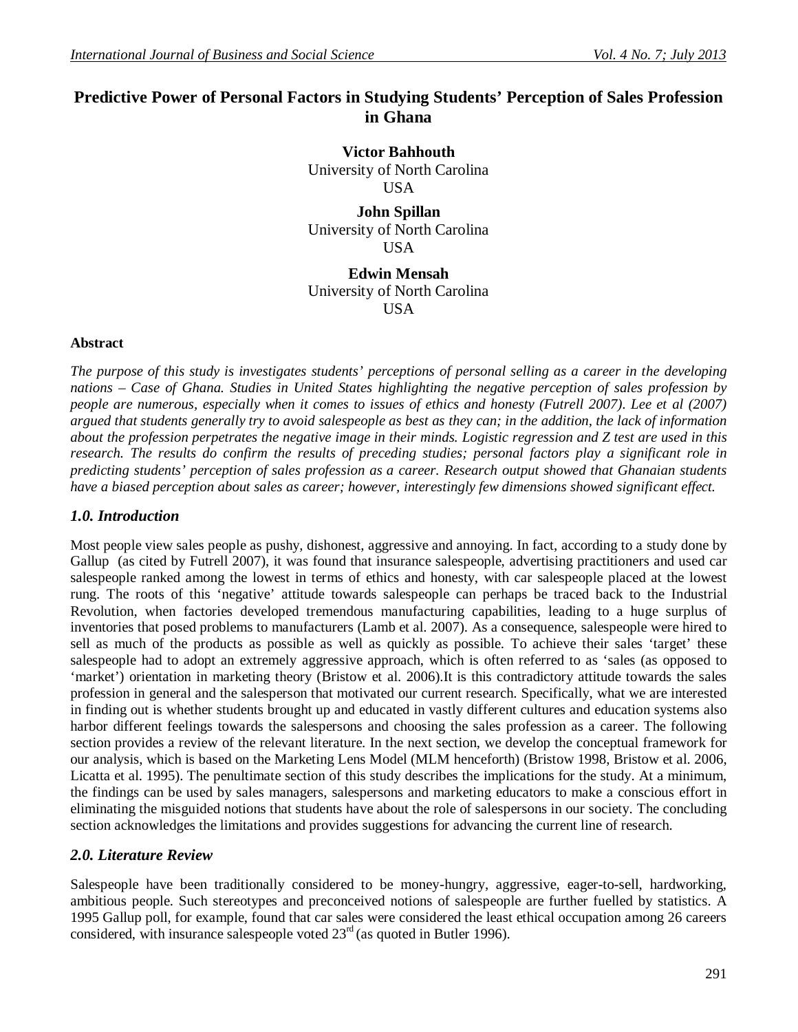# **Predictive Power of Personal Factors in Studying Students' Perception of Sales Profession in Ghana**

**Victor Bahhouth** University of North Carolina USA

**John Spillan** University of North Carolina USA

**Edwin Mensah** University of North Carolina USA

#### **Abstract**

*The purpose of this study is investigates students' perceptions of personal selling as a career in the developing nations – Case of Ghana. Studies in United States highlighting the negative perception of sales profession by people are numerous, especially when it comes to issues of ethics and honesty (Futrell 2007). Lee et al (2007) argued that students generally try to avoid salespeople as best as they can; in the addition, the lack of information about the profession perpetrates the negative image in their minds. Logistic regression and Z test are used in this research. The results do confirm the results of preceding studies; personal factors play a significant role in predicting students' perception of sales profession as a career. Research output showed that Ghanaian students have a biased perception about sales as career; however, interestingly few dimensions showed significant effect.*

#### *1.0. Introduction*

Most people view sales people as pushy, dishonest, aggressive and annoying. In fact, according to a study done by Gallup (as cited by Futrell 2007), it was found that insurance salespeople, advertising practitioners and used car salespeople ranked among the lowest in terms of ethics and honesty, with car salespeople placed at the lowest rung. The roots of this 'negative' attitude towards salespeople can perhaps be traced back to the Industrial Revolution, when factories developed tremendous manufacturing capabilities, leading to a huge surplus of inventories that posed problems to manufacturers (Lamb et al. 2007). As a consequence, salespeople were hired to sell as much of the products as possible as well as quickly as possible. To achieve their sales 'target' these salespeople had to adopt an extremely aggressive approach, which is often referred to as 'sales (as opposed to 'market') orientation in marketing theory (Bristow et al. 2006).It is this contradictory attitude towards the sales profession in general and the salesperson that motivated our current research. Specifically, what we are interested in finding out is whether students brought up and educated in vastly different cultures and education systems also harbor different feelings towards the salespersons and choosing the sales profession as a career. The following section provides a review of the relevant literature. In the next section, we develop the conceptual framework for our analysis, which is based on the Marketing Lens Model (MLM henceforth) (Bristow 1998, Bristow et al. 2006, Licatta et al. 1995). The penultimate section of this study describes the implications for the study. At a minimum, the findings can be used by sales managers, salespersons and marketing educators to make a conscious effort in eliminating the misguided notions that students have about the role of salespersons in our society. The concluding section acknowledges the limitations and provides suggestions for advancing the current line of research.

## *2.0. Literature Review*

Salespeople have been traditionally considered to be money-hungry, aggressive, eager-to-sell, hardworking, ambitious people. Such stereotypes and preconceived notions of salespeople are further fuelled by statistics. A 1995 Gallup poll, for example, found that car sales were considered the least ethical occupation among 26 careers considered, with insurance salespeople voted  $23<sup>rd</sup>$  (as quoted in Butler 1996).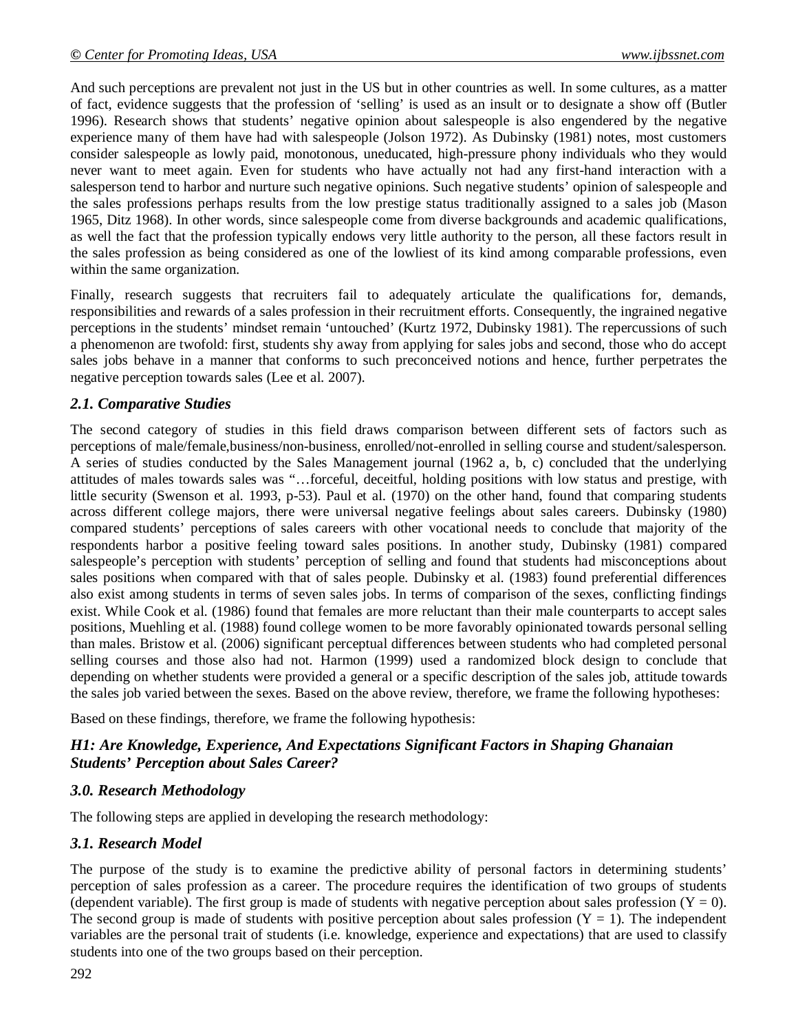And such perceptions are prevalent not just in the US but in other countries as well. In some cultures, as a matter of fact, evidence suggests that the profession of 'selling' is used as an insult or to designate a show off (Butler 1996). Research shows that students' negative opinion about salespeople is also engendered by the negative experience many of them have had with salespeople (Jolson 1972). As Dubinsky (1981) notes, most customers consider salespeople as lowly paid, monotonous, uneducated, high-pressure phony individuals who they would never want to meet again. Even for students who have actually not had any first-hand interaction with a salesperson tend to harbor and nurture such negative opinions. Such negative students' opinion of salespeople and the sales professions perhaps results from the low prestige status traditionally assigned to a sales job (Mason 1965, Ditz 1968). In other words, since salespeople come from diverse backgrounds and academic qualifications, as well the fact that the profession typically endows very little authority to the person, all these factors result in the sales profession as being considered as one of the lowliest of its kind among comparable professions, even within the same organization.

Finally, research suggests that recruiters fail to adequately articulate the qualifications for, demands, responsibilities and rewards of a sales profession in their recruitment efforts. Consequently, the ingrained negative perceptions in the students' mindset remain 'untouched' (Kurtz 1972, Dubinsky 1981). The repercussions of such a phenomenon are twofold: first, students shy away from applying for sales jobs and second, those who do accept sales jobs behave in a manner that conforms to such preconceived notions and hence, further perpetrates the negative perception towards sales (Lee et al. 2007).

### *2.1. Comparative Studies*

The second category of studies in this field draws comparison between different sets of factors such as perceptions of male/female,business/non-business, enrolled/not-enrolled in selling course and student/salesperson. A series of studies conducted by the Sales Management journal (1962 a, b, c) concluded that the underlying attitudes of males towards sales was "…forceful, deceitful, holding positions with low status and prestige, with little security (Swenson et al. 1993, p-53). Paul et al. (1970) on the other hand, found that comparing students across different college majors, there were universal negative feelings about sales careers. Dubinsky (1980) compared students' perceptions of sales careers with other vocational needs to conclude that majority of the respondents harbor a positive feeling toward sales positions. In another study, Dubinsky (1981) compared salespeople's perception with students' perception of selling and found that students had misconceptions about sales positions when compared with that of sales people. Dubinsky et al. (1983) found preferential differences also exist among students in terms of seven sales jobs. In terms of comparison of the sexes, conflicting findings exist. While Cook et al. (1986) found that females are more reluctant than their male counterparts to accept sales positions, Muehling et al. (1988) found college women to be more favorably opinionated towards personal selling than males. Bristow et al. (2006) significant perceptual differences between students who had completed personal selling courses and those also had not. Harmon (1999) used a randomized block design to conclude that depending on whether students were provided a general or a specific description of the sales job, attitude towards the sales job varied between the sexes. Based on the above review, therefore, we frame the following hypotheses:

Based on these findings, therefore, we frame the following hypothesis:

## *H1: Are Knowledge, Experience, And Expectations Significant Factors in Shaping Ghanaian Students' Perception about Sales Career?*

#### *3.0. Research Methodology*

The following steps are applied in developing the research methodology:

#### *3.1. Research Model*

The purpose of the study is to examine the predictive ability of personal factors in determining students' perception of sales profession as a career. The procedure requires the identification of two groups of students (dependent variable). The first group is made of students with negative perception about sales profession  $(Y = 0)$ . The second group is made of students with positive perception about sales profession  $(Y = 1)$ . The independent variables are the personal trait of students (i.e. knowledge, experience and expectations) that are used to classify students into one of the two groups based on their perception.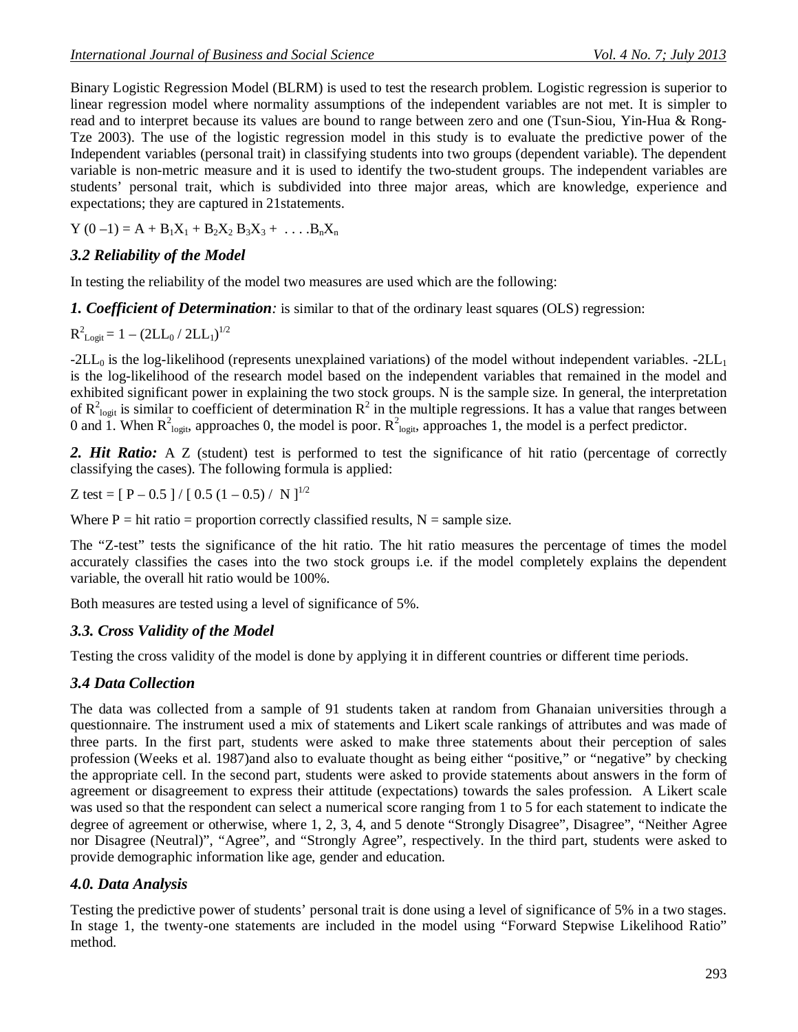Binary Logistic Regression Model (BLRM) is used to test the research problem. Logistic regression is superior to linear regression model where normality assumptions of the independent variables are not met. It is simpler to read and to interpret because its values are bound to range between zero and one (Tsun-Siou, Yin-Hua & Rong-Tze 2003). The use of the logistic regression model in this study is to evaluate the predictive power of the Independent variables (personal trait) in classifying students into two groups (dependent variable). The dependent variable is non-metric measure and it is used to identify the two-student groups. The independent variables are students' personal trait, which is subdivided into three major areas, which are knowledge, experience and expectations; they are captured in 21statements.

 $Y (0 - 1) = A + B_1 X_1 + B_2 X_2 B_3 X_3 + \dots B_n X_n$ 

#### *3.2 Reliability of the Model*

In testing the reliability of the model two measures are used which are the following:

*1. Coefficient of Determination:* is similar to that of the ordinary least squares (OLS) regression:

$$
R^2_{\text{Logit}}\!=1-\left(2LL_0\,/\,2LL_1\right)^{1/2}
$$

 $-2LL_0$  is the log-likelihood (represents unexplained variations) of the model without independent variables.  $-2LL_1$ is the log-likelihood of the research model based on the independent variables that remained in the model and exhibited significant power in explaining the two stock groups. N is the sample size. In general, the interpretation of  $R^2$ <sub>logit</sub> is similar to coefficient of determination  $R^2$  in the multiple regressions. It has a value that ranges between 0 and 1. When  $R^2_{logit}$ , approaches 0, the model is poor.  $R^2_{logit}$ , approaches 1, the model is a perfect predictor.

2. **Hit Ratio:** A Z (student) test is performed to test the significance of hit ratio (percentage of correctly classifying the cases). The following formula is applied:

Z test =  $[P - 0.5] / [0.5 (1 - 0.5) / N]^{1/2}$ 

Where  $P = hit ratio = proportion correctly classified results, N = sample size.$ 

The "Z-test" tests the significance of the hit ratio. The hit ratio measures the percentage of times the model accurately classifies the cases into the two stock groups i.e. if the model completely explains the dependent variable, the overall hit ratio would be 100%.

Both measures are tested using a level of significance of 5%.

#### *3.3. Cross Validity of the Model*

Testing the cross validity of the model is done by applying it in different countries or different time periods.

#### *3.4 Data Collection*

The data was collected from a sample of 91 students taken at random from Ghanaian universities through a questionnaire. The instrument used a mix of statements and Likert scale rankings of attributes and was made of three parts. In the first part, students were asked to make three statements about their perception of sales profession (Weeks et al. 1987)and also to evaluate thought as being either "positive," or "negative" by checking the appropriate cell. In the second part, students were asked to provide statements about answers in the form of agreement or disagreement to express their attitude (expectations) towards the sales profession. A Likert scale was used so that the respondent can select a numerical score ranging from 1 to 5 for each statement to indicate the degree of agreement or otherwise, where 1, 2, 3, 4, and 5 denote "Strongly Disagree", Disagree", "Neither Agree nor Disagree (Neutral)", "Agree", and "Strongly Agree", respectively. In the third part, students were asked to provide demographic information like age, gender and education.

#### *4.0. Data Analysis*

Testing the predictive power of students' personal trait is done using a level of significance of 5% in a two stages. In stage 1, the twenty-one statements are included in the model using "Forward Stepwise Likelihood Ratio" method.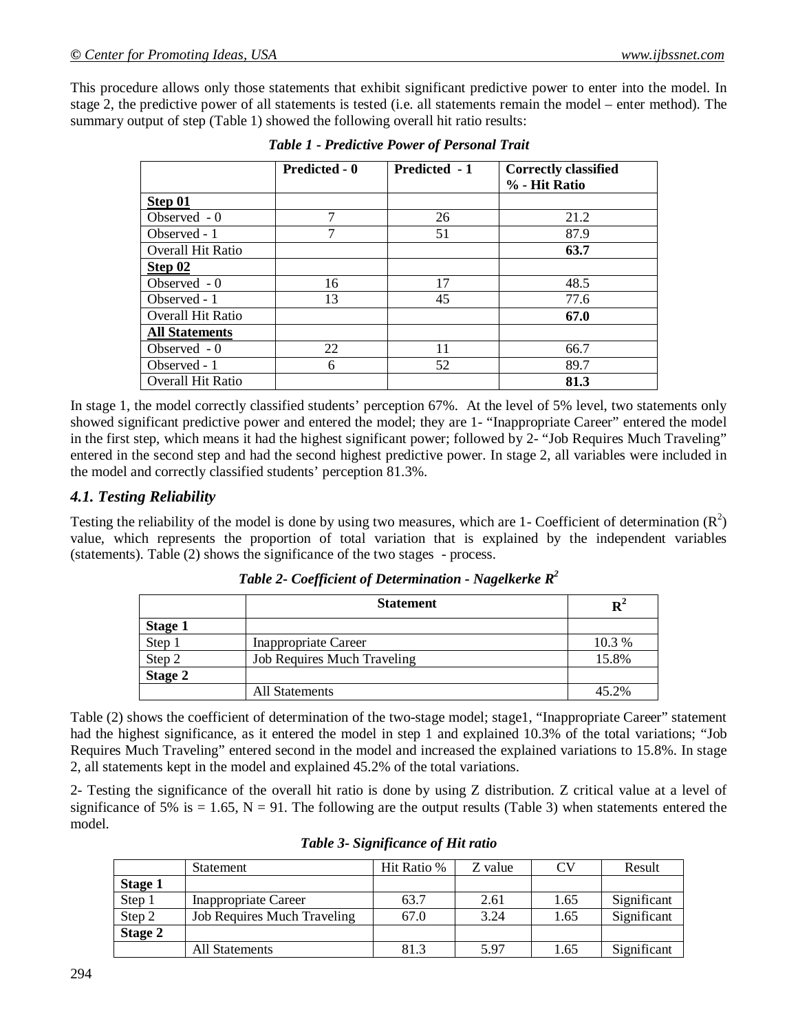This procedure allows only those statements that exhibit significant predictive power to enter into the model. In stage 2, the predictive power of all statements is tested (i.e. all statements remain the model – enter method). The summary output of step (Table 1) showed the following overall hit ratio results:

|                          | <b>Predicted - 0</b> | Predicted - 1 | <b>Correctly classified</b> |
|--------------------------|----------------------|---------------|-----------------------------|
|                          |                      |               | % - Hit Ratio               |
| Step 01                  |                      |               |                             |
| Observed $-0$            | ℸ                    | 26            | 21.2                        |
| Observed - 1             | 7                    | 51            | 87.9                        |
| <b>Overall Hit Ratio</b> |                      |               | 63.7                        |
| Step 02                  |                      |               |                             |
| Observed - 0             | 16                   | 17            | 48.5                        |
| Observed - 1             | 13                   | 45            | 77.6                        |
| <b>Overall Hit Ratio</b> |                      |               | 67.0                        |
| <b>All Statements</b>    |                      |               |                             |
| Observed $-0$            | 22                   | 11            | 66.7                        |
| Observed - 1             | 6                    | 52            | 89.7                        |
| <b>Overall Hit Ratio</b> |                      |               | 81.3                        |

*Table 1 - Predictive Power of Personal Trait*

In stage 1, the model correctly classified students' perception 67%. At the level of 5% level, two statements only showed significant predictive power and entered the model; they are 1- "Inappropriate Career" entered the model in the first step, which means it had the highest significant power; followed by 2- "Job Requires Much Traveling" entered in the second step and had the second highest predictive power. In stage 2, all variables were included in the model and correctly classified students' perception 81.3%.

### *4.1. Testing Reliability*

Testing the reliability of the model is done by using two measures, which are 1- Coefficient of determination  $(R^2)$ value, which represents the proportion of total variation that is explained by the independent variables (statements). Table (2) shows the significance of the two stages - process.

|                | <b>Statement</b>                   | $\mathbf{p}^2$ |
|----------------|------------------------------------|----------------|
| <b>Stage 1</b> |                                    |                |
| Step 1         | <b>Inappropriate Career</b>        | 10.3 %         |
| Step 2         | <b>Job Requires Much Traveling</b> | 15.8%          |
| Stage 2        |                                    |                |
|                | <b>All Statements</b>              | 45.2%          |

*Table 2- Coefficient of Determination - Nagelkerke R<sup>2</sup>*

Table (2) shows the coefficient of determination of the two-stage model; stage1, "Inappropriate Career" statement had the highest significance, as it entered the model in step 1 and explained 10.3% of the total variations; "Job Requires Much Traveling" entered second in the model and increased the explained variations to 15.8%. In stage 2, all statements kept in the model and explained 45.2% of the total variations.

2- Testing the significance of the overall hit ratio is done by using Z distribution. Z critical value at a level of significance of 5% is  $= 1.65$ , N  $= 91$ . The following are the output results (Table 3) when statements entered the model.

|                | Statement                          | Hit Ratio % | Z value |      | Result      |
|----------------|------------------------------------|-------------|---------|------|-------------|
| <b>Stage 1</b> |                                    |             |         |      |             |
| Step 1         | <b>Inappropriate Career</b>        | 63.7        | 2.61    | 1.65 | Significant |
| Step 2         | <b>Job Requires Much Traveling</b> | 67.0        | 3.24    | 1.65 | Significant |
| <b>Stage 2</b> |                                    |             |         |      |             |
|                | All Statements                     | 81.3        | 5.97    | 1.65 | Significant |

*Table 3- Significance of Hit ratio*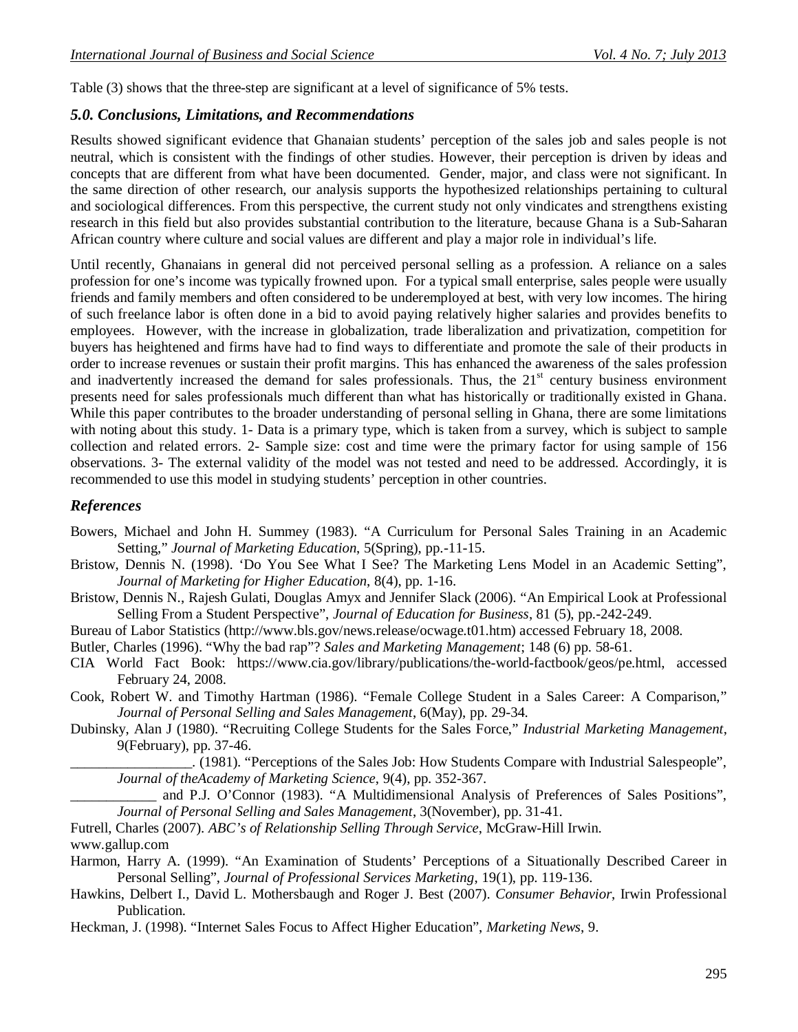Table (3) shows that the three-step are significant at a level of significance of 5% tests.

#### *5.0. Conclusions, Limitations, and Recommendations*

Results showed significant evidence that Ghanaian students' perception of the sales job and sales people is not neutral, which is consistent with the findings of other studies. However, their perception is driven by ideas and concepts that are different from what have been documented. Gender, major, and class were not significant. In the same direction of other research, our analysis supports the hypothesized relationships pertaining to cultural and sociological differences. From this perspective, the current study not only vindicates and strengthens existing research in this field but also provides substantial contribution to the literature, because Ghana is a Sub-Saharan African country where culture and social values are different and play a major role in individual's life.

Until recently, Ghanaians in general did not perceived personal selling as a profession. A reliance on a sales profession for one's income was typically frowned upon. For a typical small enterprise, sales people were usually friends and family members and often considered to be underemployed at best, with very low incomes. The hiring of such freelance labor is often done in a bid to avoid paying relatively higher salaries and provides benefits to employees. However, with the increase in globalization, trade liberalization and privatization, competition for buyers has heightened and firms have had to find ways to differentiate and promote the sale of their products in order to increase revenues or sustain their profit margins. This has enhanced the awareness of the sales profession and inadvertently increased the demand for sales professionals. Thus, the 21<sup>st</sup> century business environment presents need for sales professionals much different than what has historically or traditionally existed in Ghana. While this paper contributes to the broader understanding of personal selling in Ghana, there are some limitations with noting about this study. 1- Data is a primary type, which is taken from a survey, which is subject to sample collection and related errors. 2- Sample size: cost and time were the primary factor for using sample of 156 observations. 3- The external validity of the model was not tested and need to be addressed. Accordingly, it is recommended to use this model in studying students' perception in other countries.

#### *References*

- Bowers, Michael and John H. Summey (1983). "A Curriculum for Personal Sales Training in an Academic Setting," *Journal of Marketing Education*, 5(Spring), pp.-11-15.
- Bristow, Dennis N. (1998). 'Do You See What I See? The Marketing Lens Model in an Academic Setting", *Journal of Marketing for Higher Education*, 8(4), pp. 1-16.
- Bristow, Dennis N., Rajesh Gulati, Douglas Amyx and Jennifer Slack (2006). "An Empirical Look at Professional Selling From a Student Perspective", *Journal of Education for Business*, 81 (5), pp.-242-249.
- Bureau of Labor Statistics (http://www.bls.gov/news.release/ocwage.t01.htm) accessed February 18, 2008.

Butler, Charles (1996). "Why the bad rap"? *Sales and Marketing Management*; 148 (6) pp. 58-61.

- CIA World Fact Book: https://www.cia.gov/library/publications/the-world-factbook/geos/pe.html, accessed February 24, 2008.
- Cook, Robert W. and Timothy Hartman (1986). "Female College Student in a Sales Career: A Comparison," *Journal of Personal Selling and Sales Management*, 6(May), pp. 29-34.
- Dubinsky, Alan J (1980). "Recruiting College Students for the Sales Force," *Industrial Marketing Management*, 9(February), pp. 37-46.

\_\_\_\_\_\_\_\_\_\_\_\_\_\_\_\_\_. (1981). "Perceptions of the Sales Job: How Students Compare with Industrial Salespeople", *Journal of theAcademy of Marketing Science*, 9(4), pp. 352-367.

\_\_\_\_\_\_\_\_\_\_\_\_ and P.J. O'Connor (1983). "A Multidimensional Analysis of Preferences of Sales Positions", *Journal of Personal Selling and Sales Management*, 3(November), pp. 31-41.

Futrell, Charles (2007). *ABC's of Relationship Selling Through Service*, McGraw-Hill Irwin. www.gallup.com

- Harmon, Harry A. (1999). "An Examination of Students' Perceptions of a Situationally Described Career in Personal Selling", *Journal of Professional Services Marketing*, 19(1), pp. 119-136.
- Hawkins, Delbert I., David L. Mothersbaugh and Roger J. Best (2007). *Consumer Behavior*, Irwin Professional Publication.
- Heckman, J. (1998). "Internet Sales Focus to Affect Higher Education", *Marketing News*, 9.